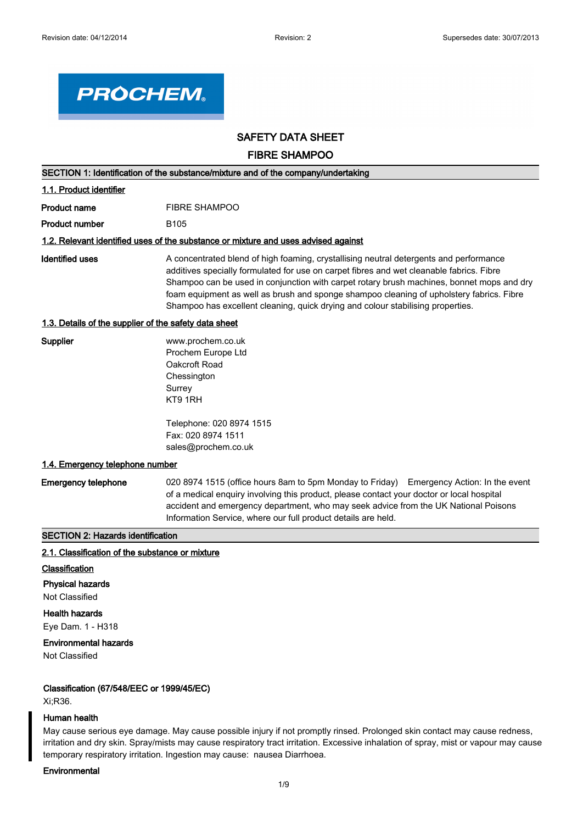

# **SAFETY DATA SHEET**

**FIBRE SHAMPOO**

|                                                                                    | SECTION 1: Identification of the substance/mixture and of the company/undertaking                                                                                                                                                                                                                                                                                                                                                                              |  |
|------------------------------------------------------------------------------------|----------------------------------------------------------------------------------------------------------------------------------------------------------------------------------------------------------------------------------------------------------------------------------------------------------------------------------------------------------------------------------------------------------------------------------------------------------------|--|
| 1.1. Product identifier                                                            |                                                                                                                                                                                                                                                                                                                                                                                                                                                                |  |
| <b>Product name</b>                                                                | <b>FIBRE SHAMPOO</b>                                                                                                                                                                                                                                                                                                                                                                                                                                           |  |
| <b>Product number</b>                                                              | B <sub>105</sub>                                                                                                                                                                                                                                                                                                                                                                                                                                               |  |
| 1.2. Relevant identified uses of the substance or mixture and uses advised against |                                                                                                                                                                                                                                                                                                                                                                                                                                                                |  |
| <b>Identified uses</b>                                                             | A concentrated blend of high foaming, crystallising neutral detergents and performance<br>additives specially formulated for use on carpet fibres and wet cleanable fabrics. Fibre<br>Shampoo can be used in conjunction with carpet rotary brush machines, bonnet mops and dry<br>foam equipment as well as brush and sponge shampoo cleaning of upholstery fabrics. Fibre<br>Shampoo has excellent cleaning, quick drying and colour stabilising properties. |  |
| 1.3. Details of the supplier of the safety data sheet                              |                                                                                                                                                                                                                                                                                                                                                                                                                                                                |  |
| Supplier                                                                           | www.prochem.co.uk<br>Prochem Europe Ltd<br>Oakcroft Road<br>Chessington<br>Surrey<br>KT9 1RH                                                                                                                                                                                                                                                                                                                                                                   |  |
|                                                                                    | Telephone: 020 8974 1515<br>Fax: 020 8974 1511<br>sales@prochem.co.uk                                                                                                                                                                                                                                                                                                                                                                                          |  |
| 1.4. Emergency telephone number                                                    |                                                                                                                                                                                                                                                                                                                                                                                                                                                                |  |
| <b>Emergency telephone</b>                                                         | 020 8974 1515 (office hours 8am to 5pm Monday to Friday) Emergency Action: In the event<br>of a medical enquiry involving this product, please contact your doctor or local hospital<br>accident and emergency department, who may seek advice from the UK National Poisons<br>Information Service, where our full product details are held.                                                                                                                   |  |
| <b>SECTION 2: Hazards identification</b>                                           |                                                                                                                                                                                                                                                                                                                                                                                                                                                                |  |
| 2.1. Classification of the substance or mixture                                    |                                                                                                                                                                                                                                                                                                                                                                                                                                                                |  |

# **Classification**

**Physical hazards** Not Classified

**Health hazards** Eye Dam. 1 - H318

## **Environmental hazards**

Not Classified

# **Classification (67/548/EEC or 1999/45/EC)**

Xi;R36.

# **Human health**

May cause serious eye damage. May cause possible injury if not promptly rinsed. Prolonged skin contact may cause redness, irritation and dry skin. Spray/mists may cause respiratory tract irritation. Excessive inhalation of spray, mist or vapour may cause temporary respiratory irritation. Ingestion may cause: nausea Diarrhoea.

## **Environmental**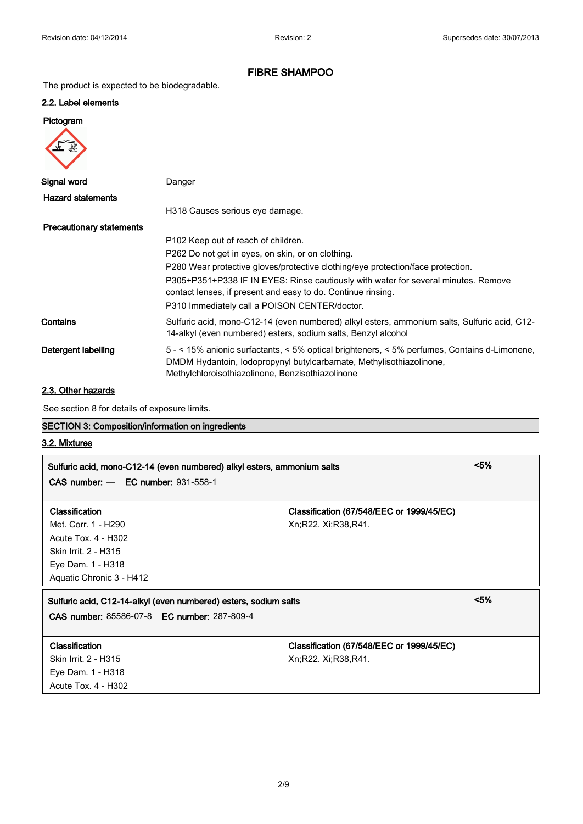The product is expected to be biodegradable.

# **2.2. Label elements**

# **Pictogram**

| 当卷                              |                                                                                                                                                                                                                         |
|---------------------------------|-------------------------------------------------------------------------------------------------------------------------------------------------------------------------------------------------------------------------|
| Signal word                     | Danger                                                                                                                                                                                                                  |
| <b>Hazard statements</b>        |                                                                                                                                                                                                                         |
|                                 | H318 Causes serious eye damage.                                                                                                                                                                                         |
| <b>Precautionary statements</b> |                                                                                                                                                                                                                         |
|                                 | P <sub>102</sub> Keep out of reach of children.                                                                                                                                                                         |
|                                 | P262 Do not get in eyes, on skin, or on clothing.                                                                                                                                                                       |
|                                 | P280 Wear protective gloves/protective clothing/eye protection/face protection.                                                                                                                                         |
|                                 | P305+P351+P338 IF IN EYES: Rinse cautiously with water for several minutes. Remove<br>contact lenses, if present and easy to do. Continue rinsing.                                                                      |
|                                 | P310 Immediately call a POISON CENTER/doctor.                                                                                                                                                                           |
| Contains                        | Sulfuric acid, mono-C12-14 (even numbered) alkyl esters, ammonium salts, Sulfuric acid, C12-<br>14-alkyl (even numbered) esters, sodium salts, Benzyl alcohol                                                           |
| Detergent labelling             | 5 - < 15% anionic surfactants, < 5% optical brighteners, < 5% perfumes, Contains d-Limonene,<br>DMDM Hydantoin, lodopropynyl butylcarbamate, Methylisothiazolinone,<br>Methylchloroisothiazolinone, Benzisothiazolinone |

# **2.3. Other hazards**

See section 8 for details of exposure limits.

| < 5%<br>Sulfuric acid, mono-C12-14 (even numbered) alkyl esters, ammonium salts<br>$CAS$ number: $-$ EC number: 931-558-1<br>Classification<br>Classification (67/548/EEC or 1999/45/EC)<br>Met. Corr. 1 - H290<br>Xn;R22. Xi;R38,R41.<br>Acute Tox. 4 - H302<br>Skin Irrit. 2 - H315<br>Eye Dam. 1 - H318<br>Aquatic Chronic 3 - H412<br>$5%$<br>Sulfuric acid, C12-14-alkyl (even numbered) esters, sodium salts<br><b>CAS number: 85586-07-8 EC number: 287-809-4</b><br>Classification<br>Classification (67/548/EEC or 1999/45/EC)<br>Skin Irrit. 2 - H315<br>Xn;R22. Xi;R38,R41.<br>Eye Dam. 1 - H318<br>Acute Tox. 4 - H302 | <b>SECTION 3: Composition/information on ingredients</b> |  |  |  |
|------------------------------------------------------------------------------------------------------------------------------------------------------------------------------------------------------------------------------------------------------------------------------------------------------------------------------------------------------------------------------------------------------------------------------------------------------------------------------------------------------------------------------------------------------------------------------------------------------------------------------------|----------------------------------------------------------|--|--|--|
|                                                                                                                                                                                                                                                                                                                                                                                                                                                                                                                                                                                                                                    | 3.2. Mixtures                                            |  |  |  |
|                                                                                                                                                                                                                                                                                                                                                                                                                                                                                                                                                                                                                                    |                                                          |  |  |  |
|                                                                                                                                                                                                                                                                                                                                                                                                                                                                                                                                                                                                                                    |                                                          |  |  |  |
|                                                                                                                                                                                                                                                                                                                                                                                                                                                                                                                                                                                                                                    |                                                          |  |  |  |
|                                                                                                                                                                                                                                                                                                                                                                                                                                                                                                                                                                                                                                    |                                                          |  |  |  |
|                                                                                                                                                                                                                                                                                                                                                                                                                                                                                                                                                                                                                                    |                                                          |  |  |  |
|                                                                                                                                                                                                                                                                                                                                                                                                                                                                                                                                                                                                                                    |                                                          |  |  |  |
|                                                                                                                                                                                                                                                                                                                                                                                                                                                                                                                                                                                                                                    |                                                          |  |  |  |
|                                                                                                                                                                                                                                                                                                                                                                                                                                                                                                                                                                                                                                    |                                                          |  |  |  |
|                                                                                                                                                                                                                                                                                                                                                                                                                                                                                                                                                                                                                                    |                                                          |  |  |  |
|                                                                                                                                                                                                                                                                                                                                                                                                                                                                                                                                                                                                                                    |                                                          |  |  |  |
|                                                                                                                                                                                                                                                                                                                                                                                                                                                                                                                                                                                                                                    |                                                          |  |  |  |
|                                                                                                                                                                                                                                                                                                                                                                                                                                                                                                                                                                                                                                    |                                                          |  |  |  |
|                                                                                                                                                                                                                                                                                                                                                                                                                                                                                                                                                                                                                                    |                                                          |  |  |  |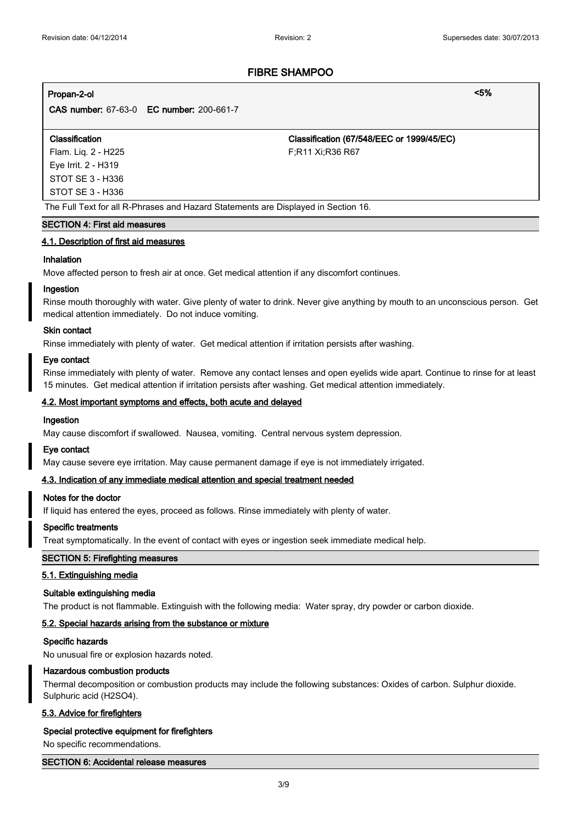# **Propan-2-ol <5%**

**CAS number:** 67-63-0 **EC number:** 200-661-7

Flam. Liq. 2 - H225 F;R11 Xi;R36 R67 Eye Irrit. 2 - H319 STOT SE 3 - H336 STOT SE 3 - H336

**Classification Classification (67/548/EEC or 1999/45/EC)**

The Full Text for all R-Phrases and Hazard Statements are Displayed in Section 16.

#### **SECTION 4: First aid measures**

## **4.1. Description of first aid measures**

## **Inhalation**

Move affected person to fresh air at once. Get medical attention if any discomfort continues.

#### **Ingestion**

Rinse mouth thoroughly with water. Give plenty of water to drink. Never give anything by mouth to an unconscious person. Get medical attention immediately. Do not induce vomiting.

#### **Skin contact**

Rinse immediately with plenty of water. Get medical attention if irritation persists after washing.

## **Eye contact**

Rinse immediately with plenty of water. Remove any contact lenses and open eyelids wide apart. Continue to rinse for at least 15 minutes. Get medical attention if irritation persists after washing. Get medical attention immediately.

## **4.2. Most important symptoms and effects, both acute and delayed**

## **Ingestion**

May cause discomfort if swallowed. Nausea, vomiting. Central nervous system depression.

## **Eye contact**

May cause severe eye irritation. May cause permanent damage if eye is not immediately irrigated.

# **4.3. Indication of any immediate medical attention and special treatment needed**

## **Notes for the doctor**

If liquid has entered the eyes, proceed as follows. Rinse immediately with plenty of water.

## **Specific treatments**

Treat symptomatically. In the event of contact with eyes or ingestion seek immediate medical help.

# **SECTION 5: Firefighting measures**

# **5.1. Extinguishing media**

## **Suitable extinguishing media**

The product is not flammable. Extinguish with the following media: Water spray, dry powder or carbon dioxide.

## **5.2. Special hazards arising from the substance or mixture**

#### **Specific hazards**

No unusual fire or explosion hazards noted.

## **Hazardous combustion products**

Thermal decomposition or combustion products may include the following substances: Oxides of carbon. Sulphur dioxide. Sulphuric acid (H2SO4).

## **5.3. Advice for firefighters**

## **Special protective equipment for firefighters**

No specific recommendations.

**SECTION 6: Accidental release measures**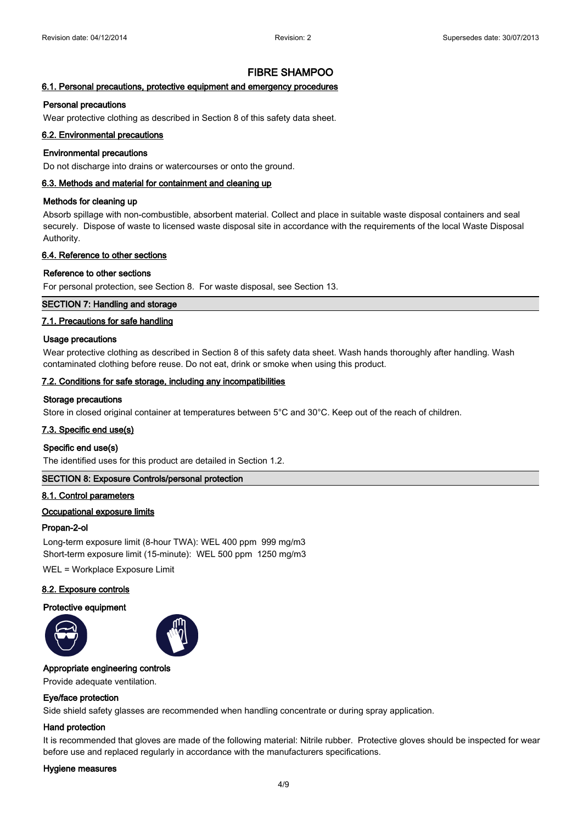# **6.1. Personal precautions, protective equipment and emergency procedures**

# **Personal precautions**

Wear protective clothing as described in Section 8 of this safety data sheet.

## **6.2. Environmental precautions**

## **Environmental precautions**

Do not discharge into drains or watercourses or onto the ground.

# **6.3. Methods and material for containment and cleaning up**

## **Methods for cleaning up**

Absorb spillage with non-combustible, absorbent material. Collect and place in suitable waste disposal containers and seal securely. Dispose of waste to licensed waste disposal site in accordance with the requirements of the local Waste Disposal Authority.

# **6.4. Reference to other sections**

## **Reference to other sections**

For personal protection, see Section 8. For waste disposal, see Section 13.

## **SECTION 7: Handling and storage**

# **7.1. Precautions for safe handling**

## **Usage precautions**

Wear protective clothing as described in Section 8 of this safety data sheet. Wash hands thoroughly after handling. Wash contaminated clothing before reuse. Do not eat, drink or smoke when using this product.

## **7.2. Conditions for safe storage, including any incompatibilities**

## **Storage precautions**

Store in closed original container at temperatures between 5°C and 30°C. Keep out of the reach of children.

## **7.3. Specific end use(s)**

## **Specific end use(s)**

The identified uses for this product are detailed in Section 1.2.

# **SECTION 8: Exposure Controls/personal protection**

# **8.1. Control parameters**

# **Occupational exposure limits**

## **Propan-2-ol**

Long-term exposure limit (8-hour TWA): WEL 400 ppm 999 mg/m3 Short-term exposure limit (15-minute): WEL 500 ppm 1250 mg/m3

WEL = Workplace Exposure Limit

# **8.2. Exposure controls**

## **Protective equipment**





## **Appropriate engineering controls**

Provide adequate ventilation.

## **Eye/face protection**

Side shield safety glasses are recommended when handling concentrate or during spray application.

## **Hand protection**

It is recommended that gloves are made of the following material: Nitrile rubber. Protective gloves should be inspected for wear before use and replaced regularly in accordance with the manufacturers specifications.

## **Hygiene measures**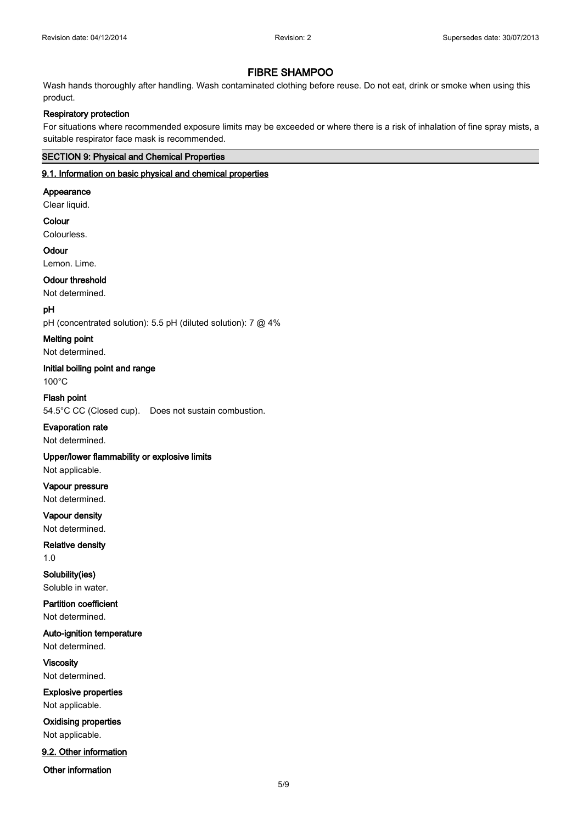Wash hands thoroughly after handling. Wash contaminated clothing before reuse. Do not eat, drink or smoke when using this product.

## **Respiratory protection**

For situations where recommended exposure limits may be exceeded or where there is a risk of inhalation of fine spray mists, a suitable respirator face mask is recommended.

## **SECTION 9: Physical and Chemical Properties**

# **9.1. Information on basic physical and chemical properties**

#### **Appearance**

Clear liquid.

# **Colour**

Colourless.

# **Odour**

Lemon. Lime.

# **Odour threshold**

Not determined.

## **pH**

pH (concentrated solution): 5.5 pH (diluted solution): 7 @ 4%

# **Melting point**

Not determined.

# **Initial boiling point and range**

100°C

# **Flash point**

54.5°C CC (Closed cup). Does not sustain combustion.

# **Evaporation rate**

Not determined.

# **Upper/lower flammability or explosive limits**

Not applicable.

# **Vapour pressure**

Not determined.

# **Vapour density**

Not determined.

# **Relative density**

1.0

# **Solubility(ies)** Soluble in water.

**Partition coefficient**

Not determined.

# **Auto-ignition temperature**

Not determined. **Viscosity**

Not determined.

# **Explosive properties**

Not applicable.

# **Oxidising properties** Not applicable.

**9.2. Other information**

# **Other information**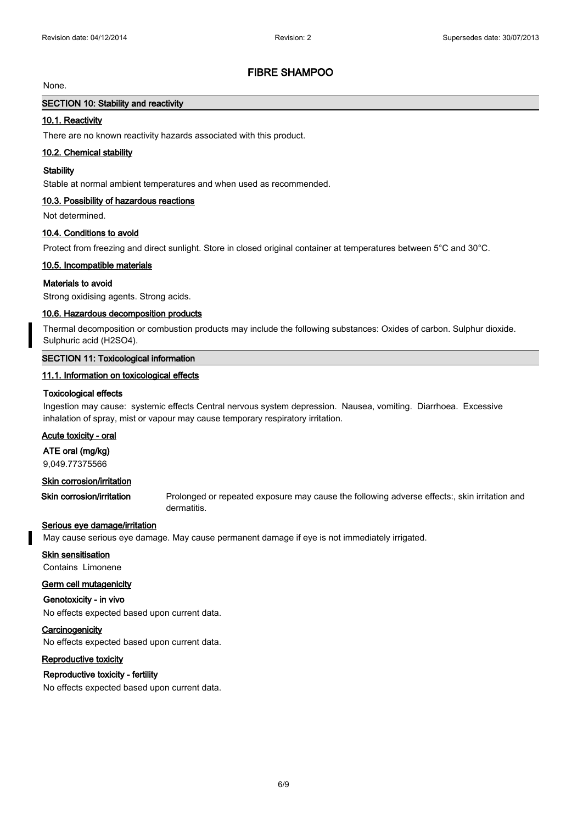#### None.

# **SECTION 10: Stability and reactivity**

# **10.1. Reactivity**

There are no known reactivity hazards associated with this product.

## **10.2. Chemical stability**

#### **Stability**

Stable at normal ambient temperatures and when used as recommended.

## **10.3. Possibility of hazardous reactions**

Not determined.

#### **10.4. Conditions to avoid**

Protect from freezing and direct sunlight. Store in closed original container at temperatures between 5°C and 30°C.

#### **10.5. Incompatible materials**

## **Materials to avoid**

Strong oxidising agents. Strong acids.

## **10.6. Hazardous decomposition products**

Thermal decomposition or combustion products may include the following substances: Oxides of carbon. Sulphur dioxide. Sulphuric acid (H2SO4).

# **SECTION 11: Toxicological information**

# **11.1. Information on toxicological effects**

## **Toxicological effects**

Ingestion may cause: systemic effects Central nervous system depression. Nausea, vomiting. Diarrhoea. Excessive inhalation of spray, mist or vapour may cause temporary respiratory irritation.

#### **Acute toxicity - oral**

# **ATE oral (mg/kg)**

9,049.77375566

# **Skin corrosion/irritation**

**Skin corrosion/irritation** Prolonged or repeated exposure may cause the following adverse effects:, skin irritation and dermatitis.

# **Serious eye damage/irritation**

May cause serious eye damage. May cause permanent damage if eye is not immediately irrigated.

#### **Skin sensitisation**

Contains Limonene

#### **Germ cell mutagenicity**

## **Genotoxicity - in vivo**

No effects expected based upon current data.

# **Carcinogenicity**

No effects expected based upon current data.

# **Reproductive toxicity**

# **Reproductive toxicity - fertility**

No effects expected based upon current data.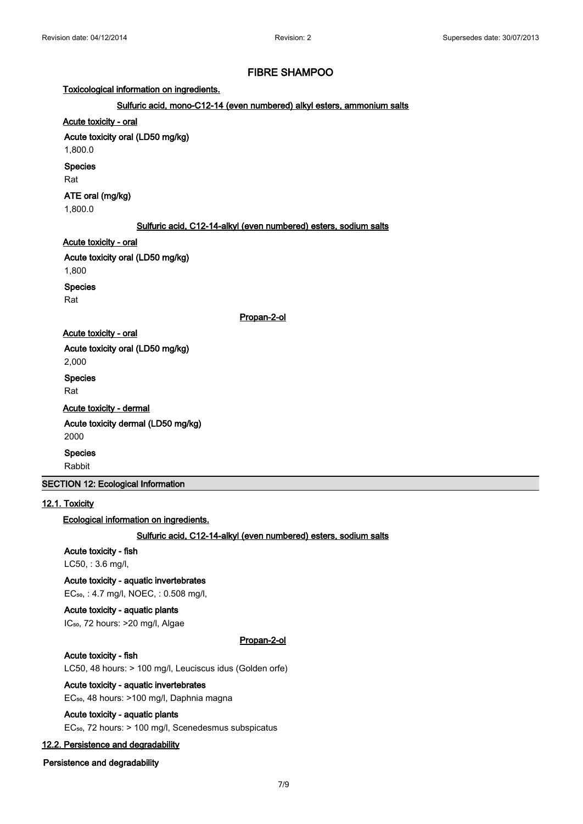# **Toxicological information on ingredients.**

# **Sulfuric acid, mono-C12-14 (even numbered) alkyl esters, ammonium salts**

# **Acute toxicity - oral**

# **Acute toxicity oral (LD50 mg/kg)**

1,800.0

#### **Species**

Rat

# **ATE oral (mg/kg)**

1,800.0

# **Sulfuric acid, C12-14-alkyl (even numbered) esters, sodium salts**

# **Acute toxicity - oral**

**Acute toxicity oral (LD50 mg/kg)**

# 1,800

**Species**

Rat

## **Propan-2-ol**

# **Acute toxicity - oral**

**Acute toxicity oral (LD50 mg/kg)**

2,000

# **Species**

Rat

## **Acute toxicity - dermal**

**Acute toxicity dermal (LD50 mg/kg)** 2000

# **Species**

Rabbit

# **SECTION 12: Ecological Information**

# **12.1. Toxicity**

# **Ecological information on ingredients.**

**Sulfuric acid, C12-14-alkyl (even numbered) esters, sodium salts**

## **Acute toxicity - fish**

LC50, : 3.6 mg/l,

# **Acute toxicity - aquatic invertebrates**

EC₅₀, : 4.7 mg/l, NOEC, : 0.508 mg/l,

# **Acute toxicity - aquatic plants**

IC<sub>50</sub>, 72 hours: > 20 mg/l, Algae

## **Propan-2-ol**

**Acute toxicity - fish** LC50, 48 hours: > 100 mg/l, Leuciscus idus (Golden orfe)

#### **Acute toxicity - aquatic invertebrates**

EC<sub>50</sub>, 48 hours: >100 mg/l, Daphnia magna

# **Acute toxicity - aquatic plants**

EC<sub>50</sub>, 72 hours: > 100 mg/l, Scenedesmus subspicatus

# **12.2. Persistence and degradability**

#### **Persistence and degradability**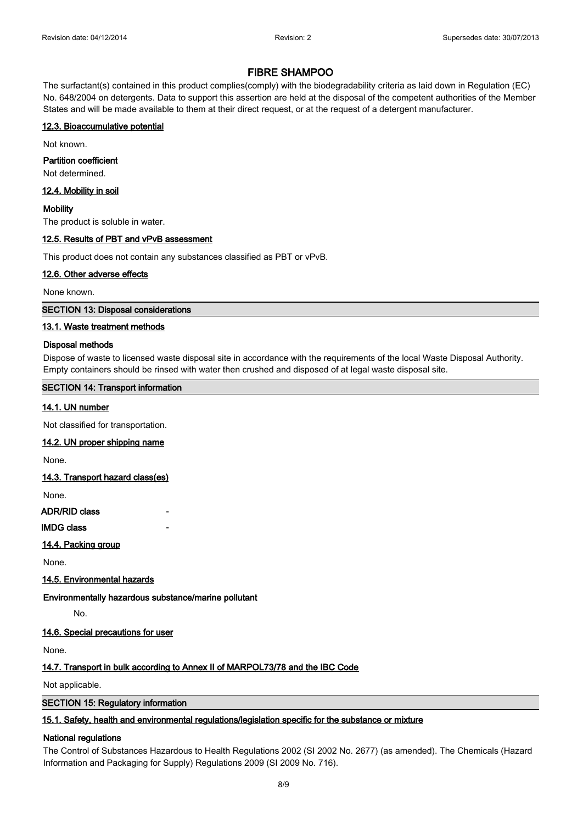The surfactant(s) contained in this product complies(comply) with the biodegradability criteria as laid down in Regulation (EC) No. 648/2004 on detergents. Data to support this assertion are held at the disposal of the competent authorities of the Member States and will be made available to them at their direct request, or at the request of a detergent manufacturer.

# **12.3. Bioaccumulative potential**

Not known.

# **Partition coefficient**

Not determined.

# **12.4. Mobility in soil**

**Mobility**

The product is soluble in water.

# **12.5. Results of PBT and vPvB assessment**

This product does not contain any substances classified as PBT or vPvB.

## **12.6. Other adverse effects**

None known.

**SECTION 13: Disposal considerations**

# **13.1. Waste treatment methods**

## **Disposal methods**

Dispose of waste to licensed waste disposal site in accordance with the requirements of the local Waste Disposal Authority. Empty containers should be rinsed with water then crushed and disposed of at legal waste disposal site.

# **SECTION 14: Transport information**

# **14.1. UN number**

Not classified for transportation.

**14.2. UN proper shipping name**

None.

**14.3. Transport hazard class(es)**

None.

**ADR/RID class** 

**IMDG class** 

# **14.4. Packing group**

None.

# **14.5. Environmental hazards**

**Environmentally hazardous substance/marine pollutant**

No.

# **14.6. Special precautions for user**

None.

# **14.7. Transport in bulk according to Annex II of MARPOL73/78 and the IBC Code**

Not applicable.

# **SECTION 15: Regulatory information**

# **15.1. Safety, health and environmental regulations/legislation specific for the substance or mixture**

# **National regulations**

The Control of Substances Hazardous to Health Regulations 2002 (SI 2002 No. 2677) (as amended). The Chemicals (Hazard Information and Packaging for Supply) Regulations 2009 (SI 2009 No. 716).